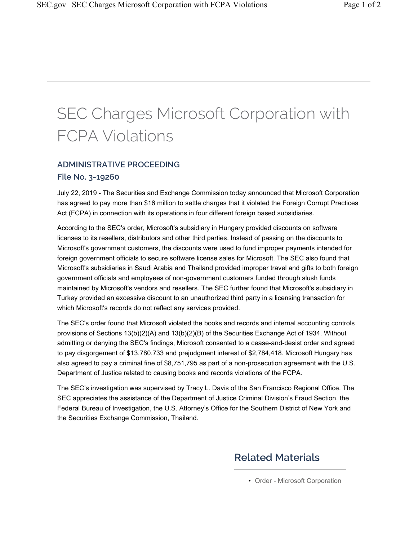## SEC Charges Microsoft Corporation with FCPA Violations

## **ADMINISTRATIVE PROCEEDING**

## **File No. 3-19260**

July 22, 2019 - The Securities and Exchange Commission today announced that Microsoft Corporation has agreed to pay more than \$16 million to settle charges that it violated the Foreign Corrupt Practices Act (FCPA) in connection with its operations in four different foreign based subsidiaries.

According to the SEC's order, Microsoft's subsidiary in Hungary provided discounts on software licenses to its resellers, distributors and other third parties. Instead of passing on the discounts to Microsoft's government customers, the discounts were used to fund improper payments intended for foreign government officials to secure software license sales for Microsoft. The SEC also found that Microsoft's subsidiaries in Saudi Arabia and Thailand provided improper travel and gifts to both foreign government officials and employees of non-government customers funded through slush funds maintained by Microsoft's vendors and resellers. The SEC further found that Microsoft's subsidiary in Turkey provided an excessive discount to an unauthorized third party in a licensing transaction for which Microsoft's records do not reflect any services provided.

The SEC's order found that Microsoft violated the books and records and internal accounting controls provisions of Sections 13(b)(2)(A) and 13(b)(2)(B) of the Securities Exchange Act of 1934. Without admitting or denying the SEC's findings, Microsoft consented to a cease-and-desist order and agreed to pay disgorgement of \$13,780,733 and prejudgment interest of \$2,784,418. Microsoft Hungary has also agreed to pay a criminal fine of \$8,751,795 as part of a non-prosecution agreement with the U.S. Department of Justice related to causing books and records violations of the FCPA.

The SEC's investigation was supervised by Tracy L. Davis of the San Francisco Regional Office. The SEC appreciates the assistance of the Department of Justice Criminal Division's Fraud Section, the Federal Bureau of Investigation, the U.S. Attorney's Office for the Southern District of New York and the Securities Exchange Commission, Thailand.

## **Related Materials**

• Order - Microsoft Corporation